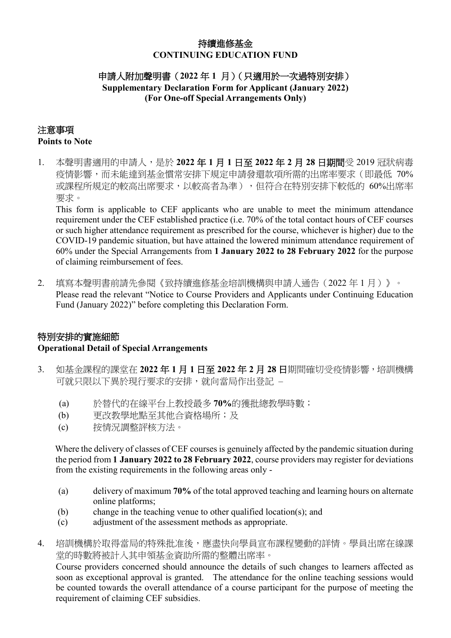## 持續進修基金 **CONTINUING EDUCATION FUND**

## 申請人附加聲明書(**2022** 年 **1** 月)(只適用於一次過特別安排) **Supplementary Declaration Form for Applicant (January 2022) (For One-off Special Arrangements Only)**

#### 注意事項 **Points to Note**

1. 本聲明書適用的申請人,是於 **2022** 年 **1** 月 **1** 日至 **2022** 年 **2** 月 **28** 日期間受 2019 冠狀病毒 疫情影響,而未能達到基金慣常安排下規定申請發還款項所需的出席率要求(即最低 70% 或課程所規定的較高出席要求,以較高者為準),但符合在特別安排下較低的 60%出席率 要求。

This form is applicable to CEF applicants who are unable to meet the minimum attendance requirement under the CEF established practice (i.e. 70% of the total contact hours of CEF courses or such higher attendance requirement as prescribed for the course, whichever is higher) due to the COVID-19 pandemic situation, but have attained the lowered minimum attendance requirement of 60% under the Special Arrangements from **1 January 2022 to 28 February 2022** for the purpose of claiming reimbursement of fees.

2. 填寫本聲明書前請先參閱《致持續進修基金培訓機構與申請人通告(2022 年 1 月)》。 Please read the relevant "Notice to Course Providers and Applicants under Continuing Education Fund (January 2022)" before completing this Declaration Form.

# 特別安排的實施細節 **Operational Detail of Special Arrangements**

- 3. 如基金課程的課堂在 **2022** 年 **1** 月 **1** 日至 **2022** 年 **2** 月 **28** 日期間確切受疫情影響,培訓機構 可就只限以下異於現行要求的安排,就向當局作出登記 –
	- (a) 於替代的在線平台上教授最多 **70%**的獲批總教學時數;
	- (b) 更改教學地點至其他合資格場所;及
	- (c) 按情況調整評核方法。

Where the delivery of classes of CEF courses is genuinely affected by the pandemic situation during the period from **1 January 2022 to 28 February 2022**, course providers may register for deviations from the existing requirements in the following areas only -

- (a) delivery of maximum **70%** of the total approved teaching and learning hours on alternate online platforms;
- (b) change in the teaching venue to other qualified location(s); and
- (c) adjustment of the assessment methods as appropriate.
- 4. 培訓機構於取得當局的特殊批准後,應盡快向學員宣布課程變動的詳情。學員出席在線課 堂的時數將被計入其申領基金資助所需的整體出席率。

Course providers concerned should announce the details of such changes to learners affected as soon as exceptional approval is granted. The attendance for the online teaching sessions would be counted towards the overall attendance of a course participant for the purpose of meeting the requirement of claiming CEF subsidies.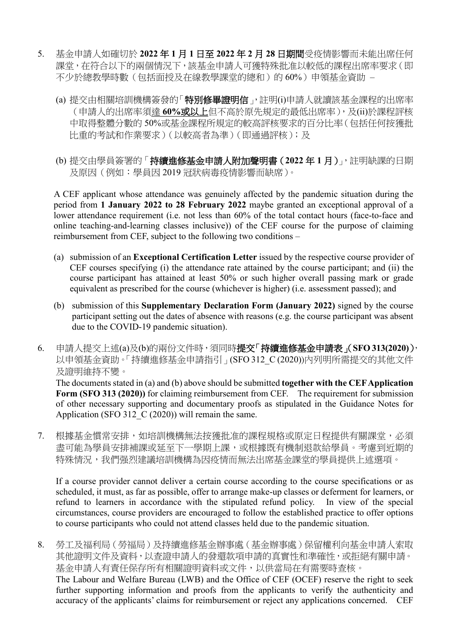- 5. 基金申請人如確切於 **2022** 年 **1** 月 **1** 日至 **2022** 年 **2** 月 **28** 日期間受疫情影響而未能出席任何 課堂,在符合以下的兩個情況下,該基金申請人可獲特殊批准以較低的課程出席率要求(即 不少於總教學時數(包括面授及在線教學課堂的總和)的 60%)申領基金資助 –
	- (a) 提交由相關培訓機構簽發的「特別修畢證明信」,註明(i)申請人就讀該基金課程的出席率 (申請人的出席率須達 **60%**或以上但不高於原先規定的最低出席率),及(ii)於課程評核 中取得整體分數的 50%或基金課程所規定的較高評核要求的百分比率(包括任何按獲批 比重的考試和作業要求)(以較高者為準)(即通過評核);及
	- (b) 提交由學員簽署的「持續進修基金申請人附加聲明書(**2022** 年 **1** 月)」,註明缺課的日期 及原因(例如:學員因 2019 冠狀病毒疫情影響而缺席)。

A CEF applicant whose attendance was genuinely affected by the pandemic situation during the period from **1 January 2022 to 28 February 2022** maybe granted an exceptional approval of a lower attendance requirement (i.e. not less than 60% of the total contact hours (face-to-face and online teaching-and-learning classes inclusive)) of the CEF course for the purpose of claiming reimbursement from CEF, subject to the following two conditions –

- (a) submission of an **Exceptional Certification Letter** issued by the respective course provider of CEF courses specifying (i) the attendance rate attained by the course participant; and (ii) the course participant has attained at least 50% or such higher overall passing mark or grade equivalent as prescribed for the course (whichever is higher) (i.e. assessment passed); and
- (b) submission of this **Supplementary Declaration Form (January 2022)** signed by the course participant setting out the dates of absence with reasons (e.g. the course participant was absent due to the COVID-19 pandemic situation).
- 6. 申請人提交上述(a)及(b)的兩份文件時,須同時提交「持續進修基金申請表」(**SFO 313(2020)**), 以申領基金資助。「持續進修基金申請指引」(SFO 312 C (2020))內列明所需提交的其他文件 及證明維持不變。

The documents stated in (a) and (b) above should be submitted **together with the CEF Application**  Form (SFO 313 (2020)) for claiming reimbursement from CEF. The requirement for submission of other necessary supporting and documentary proofs as stipulated in the Guidance Notes for Application (SFO 312  $\overline{C}$  (2020)) will remain the same.

7. 根據基金慣常安排,如培訓機構無法按獲批准的課程規格或原定日程提供有關課堂,必須 盡可能為學員安排補課或延至下一學期上課,或根據既有機制退款給學員。考慮到近期的 特殊情況,我們强烈建議培訓機構為因疫情而無法出席基金課堂的學員提供上述選項。

If a course provider cannot deliver a certain course according to the course specifications or as scheduled, it must, as far as possible, offer to arrange make-up classes or deferment for learners, or refund to learners in accordance with the stipulated refund policy. In view of the special circumstances, course providers are encouraged to follow the established practice to offer options to course participants who could not attend classes held due to the pandemic situation.

8. 勞工及福利局(勞福局)及持續進修基金辦事處(基金辦事處)保留權利向基金申請人索取 其他證明文件及資料,以查證申請人的發還款項申請的真實性和準確性,或拒絕有關申請。 基金申請人有責任保存所有相關證明資料或文件,以供當局在有需要時查核。 The Labour and Welfare Bureau (LWB) and the Office of CEF (OCEF) reserve the right to seek further supporting information and proofs from the applicants to verify the authenticity and accuracy of the applicants' claims for reimbursement or reject any applications concerned. CEF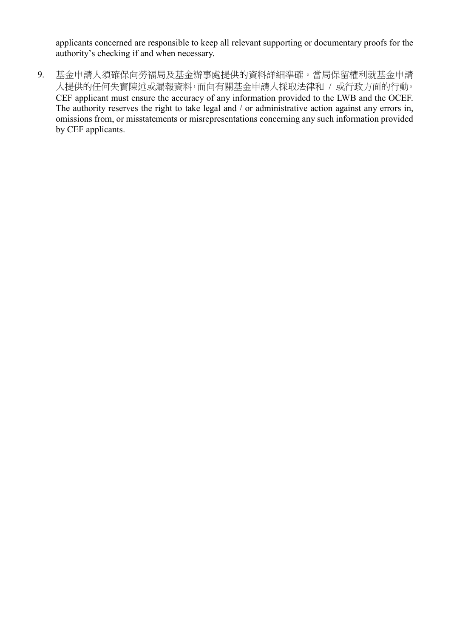applicants concerned are responsible to keep all relevant supporting or documentary proofs for the authority's checking if and when necessary.

9. 基金申請人須確保向勞福局及基金辦事處提供的資料詳細準確。當局保留權利就基金申請 人提供的任何失實陳述或漏報資料,而向有關基金申請人採取法律和 / 或行政方面的行動。 CEF applicant must ensure the accuracy of any information provided to the LWB and the OCEF. The authority reserves the right to take legal and / or administrative action against any errors in, omissions from, or misstatements or misrepresentations concerning any such information provided by CEF applicants.